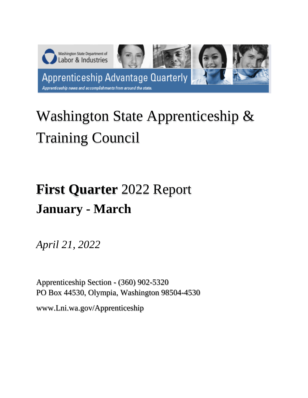

# Washington State Apprenticeship & Training Council

# **First Quarter** 2022 Report **January - March**

*April 21, 2022*

Apprenticeship Section - (360) 902-5320 PO Box 44530, Olympia, Washington 98504-4530

www.Lni.wa.gov/Apprenticeship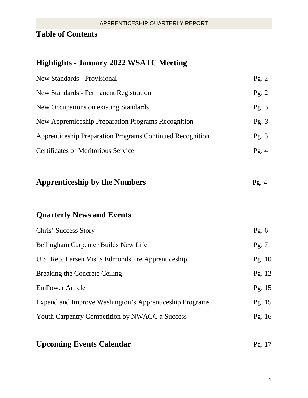# **Table of Contents**

# **Highlights - January 2022 WSATC Meeting**

| <b>New Standards - Provisional</b>                               | Pg. $2$  |
|------------------------------------------------------------------|----------|
| <b>New Standards - Permanent Registration</b>                    | Pg. 2    |
| New Occupations on existing Standards                            | Pg. $3$  |
| New Apprenticeship Preparation Programs Recognition              | Pg. 3    |
| <b>Apprenticeship Preparation Programs Continued Recognition</b> | Pg.3     |
| <b>Certificates of Meritorious Service</b>                       | Pg.4     |
| <b>Apprenticeship by the Numbers</b>                             | Pg. $4$  |
| <b>Quarterly News and Events</b>                                 |          |
| Chris' Success Story                                             | Pg. $6$  |
| Bellingham Carpenter Builds New Life                             | Pg. 7    |
| U.S. Rep. Larsen Visits Edmonds Pre Apprenticeship               | Pg. $10$ |
| <b>Breaking the Concrete Ceiling</b>                             | Pg. 12   |
| <b>EmPower Article</b>                                           | Pg. 15   |
|                                                                  |          |
| Expand and Improve Washington's Apprenticeship Programs          | Pg. 15   |
| Youth Carpentry Competition by NWAGC a Success                   | Pg. 16   |

# **Upcoming Events Calendar**  Pg. 17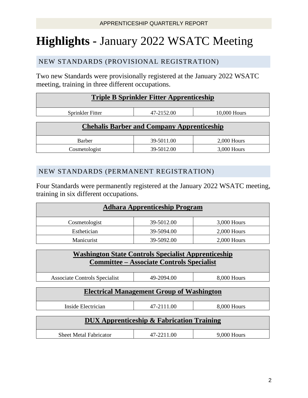# **Highlights -** January 2022 WSATC Meeting

## NEW STANDARDS (PROVISIONAL REGISTRATION)

Two new Standards were provisionally registered at the January 2022 WSATC meeting, training in three different occupations.

| <b>Triple B Sprinkler Fitter Apprenticeship</b>   |            |               |  |
|---------------------------------------------------|------------|---------------|--|
| Sprinkler Fitter                                  | 47-2152.00 | 10,000 Hours  |  |
| <b>Chehalis Barber and Company Apprenticeship</b> |            |               |  |
| <b>Barber</b>                                     | 39-5011.00 | $2,000$ Hours |  |
| Cosmetologist                                     | 39-5012.00 | 3,000 Hours   |  |

## NEW STANDARDS (PERMANENT REGISTRATION)

Four Standards were permanently registered at the January 2022 WSATC meeting, training in six different occupations.

| <b>Adhara Apprenticeship Program</b> |            |               |  |
|--------------------------------------|------------|---------------|--|
| Cosmetologist                        | 39-5012.00 | 3,000 Hours   |  |
| Esthetician                          | 39-5094.00 | $2,000$ Hours |  |
| Manicurist                           | 39-5092.00 | $2,000$ Hours |  |

| <b>Washington State Controls Specialist Apprenticeship</b><br><b>Committee – Associate Controls Specialist</b> |            |               |  |
|----------------------------------------------------------------------------------------------------------------|------------|---------------|--|
| Associate Controls Specialist                                                                                  | 49-2094.00 | 8,000 Hours   |  |
| <b>Electrical Management Group of Washington</b>                                                               |            |               |  |
| Inside Electrician                                                                                             | 47-2111.00 | 8,000 Hours   |  |
| <b>DUX Apprenticeship &amp; Fabrication Training</b>                                                           |            |               |  |
| <b>Sheet Metal Fabricator</b>                                                                                  | 47-2211.00 | $9,000$ Hours |  |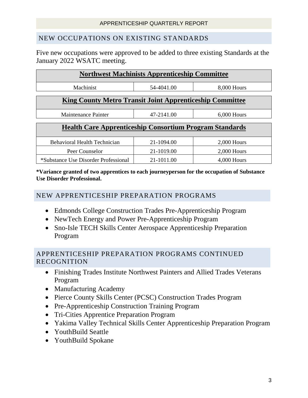### NEW OCCUPATIONS ON EXISTING STANDARDS

Five new occupations were approved to be added to three existing Standards at the January 2022 WSATC meeting.

| <b>Northwest Machinists Apprenticeship Committee</b>            |            |               |  |
|-----------------------------------------------------------------|------------|---------------|--|
| Machinist                                                       | 54-4041.00 | 8,000 Hours   |  |
| <b>King County Metro Transit Joint Apprenticeship Committee</b> |            |               |  |
| Maintenance Painter                                             | 47-2141.00 | $6,000$ Hours |  |
| <b>Health Care Apprenticeship Consortium Program Standards</b>  |            |               |  |
| <b>Behavioral Health Technician</b>                             | 21-1094.00 | $2,000$ Hours |  |
| Peer Counselor                                                  | 21-1019.00 | $2,000$ Hours |  |

**\*Variance granted of two apprentices to each journeyperson for the occupation of Substance Use Disorder Professional.**

\*Substance Use Disorder Professional 21-1011.00 4,000 Hours

#### NEW APPRENTICESHIP PREPARATION PROGRAMS

- Edmonds College Construction Trades Pre-Apprenticeship Program
- NewTech Energy and Power Pre-Apprenticeship Program
- Sno-Isle TECH Skills Center Aerospace Apprenticeship Preparation Program

### APPRENTICESHIP PREPARATION PROGRAMS CONTINUED RECOGNITION

- Finishing Trades Institute Northwest Painters and Allied Trades Veterans Program
- Manufacturing Academy
- Pierce County Skills Center (PCSC) Construction Trades Program
- Pre-Apprenticeship Construction Training Program
- Tri-Cities Apprentice Preparation Program
- Yakima Valley Technical Skills Center Apprenticeship Preparation Program
- YouthBuild Seattle
- YouthBuild Spokane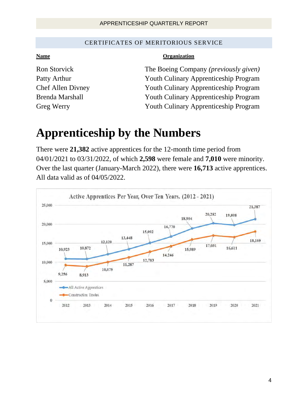#### CERTIFICATES OF MERITORIOUS SERVICE

#### **Name Organization**

Ron Storvick The Boeing Company *(previously given)* Patty Arthur **Patty Arthur Program Program Program** Chef Allen Divney Youth Culinary Apprenticeship Program Brenda Marshall Youth Culinary Apprenticeship Program Greg Werry Youth Culinary Apprenticeship Program

# **Apprenticeship by the Numbers**

There were **21,382** active apprentices for the 12-month time period from 04/01/2021 to 03/31/2022, of which **2,598** were female and **7,010** were minority. Over the last quarter (January-March 2022), there were **16,713** active apprentices. All data valid as of 04/05/2022.

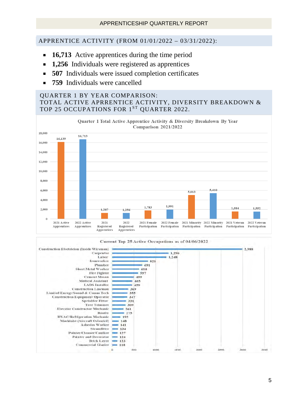#### APPRENTICE ACTIVITY (FROM 01/01/2022 – 03/31/2022):

- **16,713** Active apprentices during the time period
- **1,256** Individuals were registered as apprentices
- **507** Individuals were issued completion certificates
- **759** Individuals were cancelled

#### QUARTER 1 BY YEAR COMPARISON: TOTAL ACTIVE APRRENTICE ACTIVITY, DIVERSITY BREAKDOWN & TOP 25 OCCUPATIONS FOR 1ST OUARTER 2022.



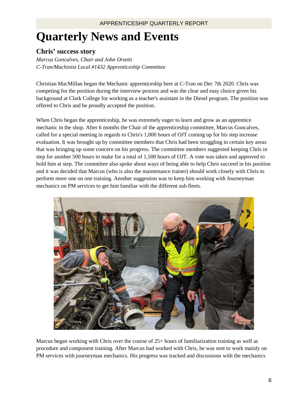# **Quarterly News and Events**

### **Chris' success story**

*Marcus Goncalves, Chair and John Orsetti C-Tran/Machinist Local #1432 Apprenticeship Committee* 

Christian MacMillan began the Mechanic apprenticeship here at C-Tran on Dec 7th 2020. Chris was competing for the position during the interview process and was the clear and easy choice given his background at Clark College for working as a teacher's assistant in the Diesel program. The position was offered to Chris and he proudly accepted the position.

When Chris began the apprenticeship, he was extremely eager to learn and grow as an apprentice mechanic in the shop. After 6 months the Chair of the apprenticeship committee, Marcus Goncalves, called for a special meeting in regards to Chris's 1,000 hours of OJT coming up for his step increase evaluation. It was brought up by committee members that Chris had been struggling in certain key areas that was bringing up some concern on his progress. The committee members suggested keeping Chris in step for another 500 hours to make for a total of 1,500 hours of OJT. A vote was taken and approved to hold him at step. The committee also spoke about ways of being able to help Chris succeed in his position and it was decided that Marcus (who is also the maintenance trainer) should work closely with Chris to perform more one on one training. Another suggestion was to keep him working with Journeyman mechanics on PM services to get him familiar with the different sub fleets.



Marcus began working with Chris over the course of 25+ hours of familiarization training as well as procedure and component training. After Marcus had worked with Chris, he was sent to work mainly on PM services with journeyman mechanics. His progress was tracked and discussions with the mechanics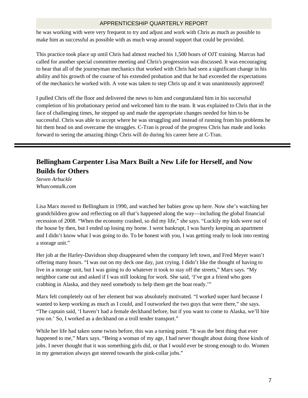he was working with were very frequent to try and adjust and work with Chris as much as possible to make him as successful as possible with as much wrap around support that could be provided.

This practice took place up until Chris had almost reached his 1,500 hours of OJT training. Marcus had called for another special committee meeting and Chris's progression was discussed. It was encouraging to hear that all of the journeyman mechanics that worked with Chris had seen a significant change in his ability and his growth of the course of his extended probation and that he had exceeded the expectations of the mechanics he worked with. A vote was taken to step Chris up and it was unanimously approved!

I pulled Chris off the floor and delivered the news to him and congratulated him in his successful completion of his probationary period and welcomed him to the team. It was explained to Chris that in the face of challenging times, he stepped up and made the appropriate changes needed for him to be successful. Chris was able to accept where he was struggling and instead of running from his problems he hit them head on and overcame the struggles. C-Tran is proud of the progress Chris has made and looks forward to seeing the amazing things Chris will do during his career here at C-Tran.

# **Bellingham Carpenter Lisa Marx Built a New Life for Herself, and Now Builds for Others**

*Steven Arbuckle Whatcomtalk.com* 

Lisa Marx moved to Bellingham in 1990, and watched her babies grow up here. Now she's watching her grandchildren grow and reflecting on all that's happened along the way—including the global financial recession of 2008. "When the economy crashed, so did my life," she says. "Luckily my kids were out of the house by then, but I ended up losing my home. I went bankrupt, I was barely keeping an apartment and I didn't know what I was going to do. To be honest with you, I was getting ready to look into renting a storage unit."

Her job at the Harley-Davidson shop disappeared when the company left town, and Fred Meyer wasn't offering many hours. "I was out on my deck one day, just crying. I didn't like the thought of having to live in a storage unit, but I was going to do whatever it took to stay off the streets," Marx says. "My neighbor came out and asked if I was still looking for work. She said, 'I've got a friend who goes crabbing in Alaska, and they need somebody to help them get the boat ready.'"

Marx felt completely out of her element but was absolutely motivated. "I worked super hard because I wanted to keep working as much as I could, and I outworked the two guys that were there," she says. "The captain said, 'I haven't had a female deckhand before, but if you want to come to Alaska, we'll hire you on.' So, I worked as a deckhand on a troll tender transport."

While her life had taken some twists before, this was a turning point. "It was the best thing that ever happened to me," Marx says. "Being a woman of my age, I had never thought about doing those kinds of jobs. I never thought that it was something girls did, or that I would ever be strong enough to do. Women in my generation always got steered towards the pink-collar jobs."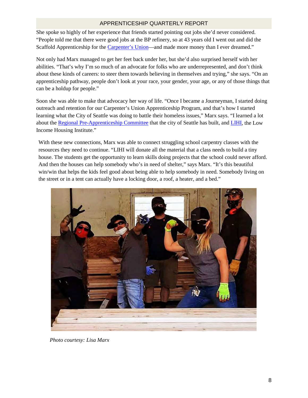She spoke so highly of her experience that friends started pointing out jobs she'd never considered. "People told me that there were good jobs at the BP refinery, so at 43 years old I went out and did the Scaffold Apprenticeship for th[e Carpenter's](https://ubclocal70.org/) [Union—](https://ubclocal70.org/)and made more money than I ever dreamed."

Not only had Marx managed to get her feet back under her, but she'd also surprised herself with her abilities. "That's why I'm so much of an advocate for folks who are underrepresented, and don't think about these kinds of careers: to steer them towards believing in themselves and trying," she says. "On an apprenticeship pathway, people don't look at your race, your gender, your age, or any of those things that can be a holdup for people."

Soon she was able to make that advocacy her way of life. "Once I became a Journeyman, I started doing outreach and retention for our Carpenter's Union Apprenticeship Program, and that's how I started learning what the City of Seattle was doing to battle their homeless issues," Marx says. "I learned a lot about the [Regional Pre-Apprenticeship Committee](https://constructioncenterofexcellence.com/about-rpac) that the city of Seattle has built, and [LIHI,](https://lihi.org/) the Low Income Housing Institute."

With these new connections, Marx was able to connect struggling school carpentry classes with the resources they need to continue. "LIHI will donate all the material that a class needs to build a tiny house. The students get the opportunity to learn skills doing projects that the school could never afford. And then the houses can help somebody who's in need of shelter," says Marx. "It's this beautiful win/win that helps the kids feel good about being able to help somebody in need. Somebody living on the street or in a tent can actually have a locking door, a roof, a heater, and a bed."



*Photo courtesy: Lisa Marx*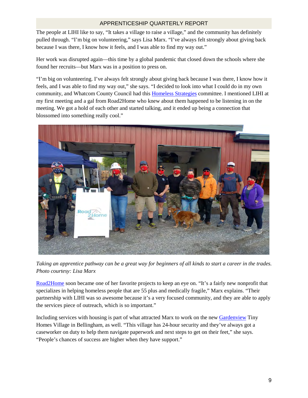The people at LIHI like to say, "It takes a village to raise a village," and the community has definitely pulled through. "I'm big on volunteering," says Lisa Marx. "I've always felt strongly about giving back because I was there, I know how it feels, and I was able to find my way out."

Her work was disrupted again—this time by a global pandemic that closed down the schools where she found her recruits—but Marx was in a position to press on.

"I'm big on volunteering. I've always felt strongly about giving back because I was there, I know how it feels, and I was able to find my way out," she says. "I decided to look into what I could do in my own community, and Whatcom County Council had thi[s Homeless](https://www.whatcomcounty.us/2747/Homeless-Strategies-Workgroup) [Strategies](https://www.whatcomcounty.us/2747/Homeless-Strategies-Workgroup) committee. I mentioned LIHI at my first meeting and a gal from Road2Home who knew about them happened to be listening in on the meeting. We got a hold of each other and started talking, and it ended up being a connection that blossomed into something really cool."



*Taking an apprentice pathway can be a great way for beginners of all kinds to start a career in the trades. Photo courtesy: Lisa Marx* 

[Road2Home](https://road2home.org/) soon became one of her favorite projects to keep an eye on. "It's a fairly new nonprofit that specializes in helping homeless people that are 55 plus and medically fragile," Marx explains. "Their partnership with LIHI was so awesome because it's a very focused community, and they are able to apply the services piece of outreach, which is so important."

Including services with housing is part of what attracted Marx to work on the new [Gardenview](https://lihi.org/gardenview-village/) Tiny Homes Village in Bellingham, as well. "This village has 24-hour security and they've always got a caseworker on duty to help them navigate paperwork and next steps to get on their feet," she says. "People's chances of success are higher when they have support."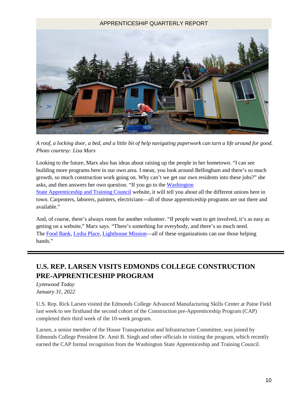

*A roof, a locking door, a bed, and a little bit of help navigating paperwork can turn a life around for good. Photo courtesy: Lisa Marx* 

Looking to the future, Marx also has ideas about raising up the people in her hometown. "I can see building more programs here in our own area. I mean, you look around Bellingham and there's so much growth, so much construction work going on. Why can't we get our own residents into these jobs?" she asks, and then answers her own question. "If you go to th[e Washington](https://www.lni.wa.gov/licensing-permits/apprenticeship/wsatc)  [State](https://www.lni.wa.gov/licensing-permits/apprenticeship/wsatc) [Apprenticeship and](https://www.lni.wa.gov/licensing-permits/apprenticeship/wsatc) [Training](https://www.lni.wa.gov/licensing-permits/apprenticeship/wsatc) [Council](https://www.lni.wa.gov/licensing-permits/apprenticeship/wsatc) website, it will tell you about all the different unions here in

town. Carpenters, laborers, painters, electricians—all of those apprenticeship programs are out there and available."

And, of course, there's always room for another volunteer. "If people want to get involved, it's as easy as getting on a website," Marx says. "There's something for everybody, and there's so much need. The [Food Bank,](https://www.bellinghamfoodbank.org/) [Lydia](https://lydiaplace.org/) [Place,](https://lydiaplace.org/) [Lighthouse Mission—](https://www.thelighthousemission.org/)all of these organizations can use those helping hands."

# **U.S. REP. LARSEN VISITS EDMONDS COLLEGE CONSTRUCTION PRE-APPRENTICESHIP PROGRAM**

*Lynnwood Today January 31, 2022*

U.S. Rep. Rick Larsen visited the Edmonds College Advanced Manufacturing Skills Center at Paine Field last week to see firsthand the second cohort of the Construction pre-Apprenticeship Program (CAP) completed their third week of the 10-week program.

Larsen, a senior member of the House Transportation and Infrastructure Committee, was joined by Edmonds College President Dr. Amit B. Singh and other officials in visiting the program, which recently earned the CAP formal recognition from the Washington State Apprenticeship and Training Council.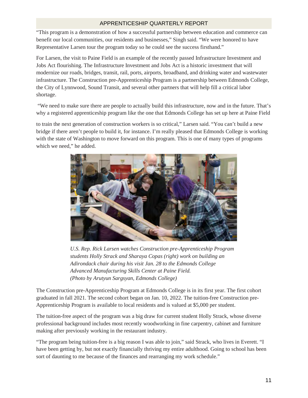"This program is a demonstration of how a successful partnership between education and commerce can benefit our local communities, our residents and businesses," Singh said. "We were honored to have Representative Larsen tour the program today so he could see the success firsthand."

For Larsen, the visit to Paine Field is an example of the recently passed Infrastructure Investment and Jobs Act flourishing. The Infrastructure Investment and Jobs Act is a historic investment that will modernize our roads, bridges, transit, rail, ports, airports, broadband, and drinking water and wastewater infrastructure. The Construction pre-Apprenticeship Program is a partnership between Edmonds College, the City of Lynnwood, Sound Transit, and several other partners that will help fill a critical labor shortage.

"We need to make sure there are people to actually build this infrastructure, now and in the future. That's why a registered apprenticeship program like the one that Edmonds College has set up here at Paine Field

to train the next generation of construction workers is so critical," Larsen said. "You can't build a new bridge if there aren't people to build it, for instance. I'm really pleased that Edmonds College is working with the state of Washington to move forward on this program. This is one of many types of programs which we need," he added.



*U.S. Rep. Rick Larsen watches Construction pre-Apprenticeship Program students Holly Strack and Sharaya Copas (right) work on building an Adirondack chair during his visit Jan. 28 to the Edmonds College Advanced Manufacturing Skills Center at Paine Field. (Photo by Arutyun Sargsyan, Edmonds College)* 

The Construction pre-Apprenticeship Program at Edmonds College is in its first year. The first cohort graduated in fall 2021. The second cohort began on Jan. 10, 2022. The tuition-free Construction pre-Apprenticeship Program is available to local residents and is valued at \$5,000 per student.

The tuition-free aspect of the program was a big draw for current student Holly Strack, whose diverse professional background includes most recently woodworking in fine carpentry, cabinet and furniture making after previously working in the restaurant industry.

"The program being tuition-free is a big reason I was able to join," said Strack, who lives in Everett. "I have been getting by, but not exactly financially thriving my entire adulthood. Going to school has been sort of daunting to me because of the finances and rearranging my work schedule."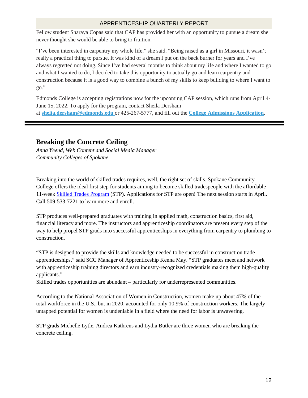Fellow student Sharaya Copas said that CAP has provided her with an opportunity to pursue a dream she never thought she would be able to bring to fruition.

"I've been interested in carpentry my whole life," she said. "Being raised as a girl in Missouri, it wasn't really a practical thing to pursue. It was kind of a dream I put on the back burner for years and I've always regretted not doing. Since I've had several months to think about my life and where I wanted to go and what I wanted to do, I decided to take this opportunity to actually go and learn carpentry and construction because it is a good way to combine a bunch of my skills to keep building to where I want to go."

Edmonds College is accepting registrations now for the upcoming CAP session, which runs from April 4- June 15, 2022. To apply for the program, contact Sheila Dersham at **[shelia.dersham@edmonds.edu](mailto:shelia.dersham@edmonds.edu)** or 425-267-5777, and fill out the **[College Admissions Application](https://apply.ctc.edu/user)**.

#### **Breaking the Concrete Ceiling**

*Anna Yeend, Web Content and Social Media Manager Community Colleges of Spokane*

Breaking into the world of skilled trades requires, well, the right set of skills. Spokane Community College offers the ideal first step for students aiming to become skilled tradespeople with the affordable 11-week [Skilled Trades Program](https://scc.spokane.edu/Become-a-Student/I-Need-Basic-Education/Get-Short-Term-Job-Training/Skilled-Trades-Program-(STP)) (STP). Applications for STP are open! The next session starts in April. Call 509-533-7221 to learn more and enroll.

STP produces well-prepared graduates with training in applied math, construction basics, first aid, financial literacy and more. The instructors and apprenticeship coordinators are present every step of the way to help propel STP grads into successful apprenticeships in everything from carpentry to plumbing to construction.

"STP is designed to provide the skills and knowledge needed to be successful in construction trade apprenticeships," said SCC Manager of Apprenticeship Kenna May. "STP graduates meet and network with apprenticeship training directors and earn industry-recognized credentials making them high-quality applicants."

Skilled trades opportunities are abundant – particularly for underrepresented communities.

According to the National Association of Women in Construction, women make up about 47% of the total workforce in the U.S., but in 2020, accounted for only 10.9% of construction workers. The largely untapped potential for women is undeniable in a field where the need for labor is unwavering.

STP grads Michelle Lytle, Andrea Kathrens and Lydia Butler are three women who are breaking the concrete ceiling.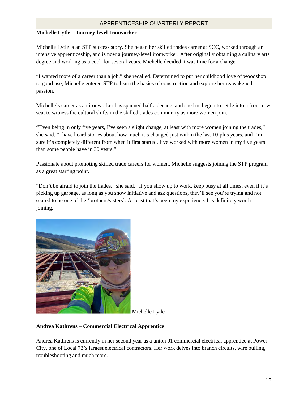#### **Michelle Lytle – Journey-level Ironworker**

Michelle Lytle is an STP success story. She began her skilled trades career at SCC, worked through an intensive apprenticeship, and is now a journey-level ironworker. After originally obtaining a culinary arts degree and working as a cook for several years, Michelle decided it was time for a change.

"I wanted more of a career than a job," she recalled. Determined to put her childhood love of woodshop to good use, Michelle entered STP to learn the basics of construction and explore her reawakened passion.

Michelle's career as an ironworker has spanned half a decade, and she has begun to settle into a front-row seat to witness the cultural shifts in the skilled trades community as more women join.

**"**Even being in only five years, I've seen a slight change, at least with more women joining the trades," she said. "I have heard stories about how much it's changed just within the last 10-plus years, and I'm sure it's completely different from when it first started. I've worked with more women in my five years than some people have in 30 years."

Passionate about promoting skilled trade careers for women, Michelle suggests joining the STP program as a great starting point.

"Don't be afraid to join the trades," she said. "If you show up to work, keep busy at all times, even if it's picking up garbage, as long as you show initiative and ask questions, they'll see you're trying and not scared to be one of the 'brothers/sisters'. At least that's been my experience. It's definitely worth joining."



Michelle Lytle

#### **Andrea Kathrens – Commercial Electrical Apprentice**

Andrea Kathrens is currently in her second year as a union 01 commercial electrical apprentice at Power City, one of Local 73's largest electrical contractors. Her work delves into branch circuits, wire pulling, troubleshooting and much more.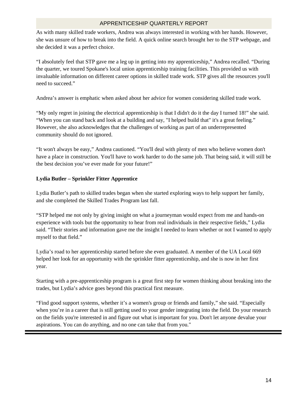As with many skilled trade workers, Andrea was always interested in working with her hands. However, she was unsure of how to break into the field. A quick online search brought her to the STP webpage, and she decided it was a perfect choice.

"I absolutely feel that STP gave me a leg up in getting into my apprenticeship," Andrea recalled. "During the quarter, we toured Spokane's local union apprenticeship training facilities. This provided us with invaluable information on different career options in skilled trade work. STP gives all the resources you'll need to succeed."

Andrea's answer is emphatic when asked about her advice for women considering skilled trade work.

"My only regret in joining the electrical apprenticeship is that I didn't do it the day I turned 18!" she said. "When you can stand back and look at a building and say, "I helped build that" it's a great feeling." However, she also acknowledges that the challenges of working as part of an underrepresented community should do not ignored.

"It won't always be easy," Andrea cautioned. "You'll deal with plenty of men who believe women don't have a place in construction. You'll have to work harder to do the same job. That being said, it will still be the best decision you've ever made for your future!"

#### **Lydia Butler – Sprinkler Fitter Apprentice**

Lydia Butler's path to skilled trades began when she started exploring ways to help support her family, and she completed the Skilled Trades Program last fall.

"STP helped me not only by giving insight on what a journeyman would expect from me and hands-on experience with tools but the opportunity to hear from real individuals in their respective fields," Lydia said. "Their stories and information gave me the insight I needed to learn whether or not I wanted to apply myself to that field."

Lydia's road to her apprenticeship started before she even graduated. A member of the UA Local 669 helped her look for an opportunity with the sprinkler fitter apprenticeship, and she is now in her first year.

Starting with a pre-apprenticeship program is a great first step for women thinking about breaking into the trades, but Lydia's advice goes beyond this practical first measure.

"Find good support systems, whether it's a women's group or friends and family," she said. "Especially when you're in a career that is still getting used to your gender integrating into the field. Do your research on the fields you're interested in and figure out what is important for you. Don't let anyone devalue your aspirations. You can do anything, and no one can take that from you."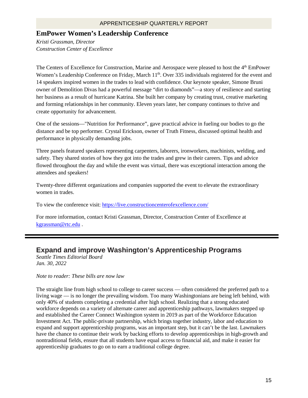### **EmPower Women's Leadership Conference**

*Kristi Grassman, Director Construction Center of Excellence* 

The Centers of Excellence for Construction, Marine and Aerospace were pleased to host the 4<sup>th</sup> EmPower Women's Leadership Conference on Friday, March 11<sup>th</sup>. Over 335 individuals registered for the event and 14 speakers inspired women in the trades to lead with confidence. Our keynote speaker, Simone Bruni owner of Demolition Divas had a powerful message "dirt to diamonds"—a story of resilience and starting her business as a result of hurricane Katrina. She built her company by creating trust, creative marketing and forming relationships in her community. Eleven years later, her company continues to thrive and create opportunity for advancement.

One of the sessions—"Nutrition for Performance", gave practical advice in fueling our bodies to go the distance and be top performer. Crystal Erickson, owner of Truth Fitness, discussed optimal health and performance in physically demanding jobs.

Three panels featured speakers representing carpenters, laborers, ironworkers, machinists, welding, and safety. They shared stories of how they got into the trades and grew in their careers. Tips and advice flowed throughout the day and while the event was virtual, there was exceptional interaction among the attendees and speakers!

Twenty-three different organizations and companies supported the event to elevate the extraordinary women in trades.

To view the conference visit: <https://live.constructioncenterofexcellence.com/>

For more information, contact Kristi Grassman, Director, Construction Center of Excellence at [kgrassman@rtc.edu](mailto:kgrassman@rtc.edu) .

# **Expand and improve Washington's Apprenticeship Programs**

*Seattle Times Editorial Board Jan. 30, 2022* 

*Note to reader: These bills are now law*

The straight line from high school to college to career success — often considered the preferred path to a living wage — is no longer the prevailing wisdom. Too many Washingtonians are being left behind, with only 40% of students completing a credential after high school. Realizing that a strong educated workforce depends on a variety of alternate career and apprenticeship pathways, lawmakers stepped up and established the Career Connect Washington system in 2019 as part of the Workforce Education Investment Act. The public-private partnership, which brings together industry, labor and education to expand and support apprenticeship programs, was an important step, but it can't be the last. Lawmakers have the chance to continue their work by backing efforts to develop apprenticeships in high-growth and nontraditional fields, ensure that all students have equal access to financial aid, and make it easier for apprenticeship graduates to go on to earn a traditional college degree.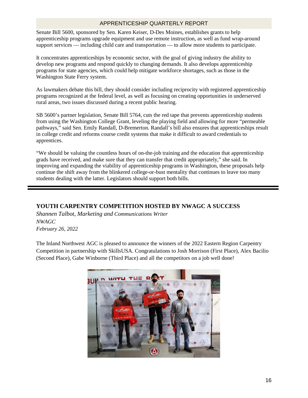Senate Bill 5600, sponsored by Sen. Karen Keiser, D-Des Moines, establishes grants to help apprenticeship programs upgrade equipment and use remote instruction, as well as fund wrap-around support services — including child care and transportation — to allow more students to participate.

It concentrates apprenticeships by economic sector, with the goal of giving industry the ability to develop new programs and respond quickly to changing demands. It also develops apprenticeship programs for state agencies, which could help mitigate workforce shortages, such as those in the Washington State Ferry system.

As lawmakers debate this bill, they should consider including reciprocity with registered apprenticeship programs recognized at the federal level, as well as focusing on creating opportunities in underserved rural areas, two issues discussed during a recent public hearing.

SB 5600's partner legislation, Senate Bill 5764, cuts the red tape that prevents apprenticeship students from using the Washington College Grant, leveling the playing field and allowing for more "permeable pathways," said Sen. Emily Randall, D-Bremerton. Randall's bill also ensures that apprenticeships result in college credit and reforms course credit systems that make it difficult to award credentials to apprentices.

"We should be valuing the countless hours of on-the-job training and the education that apprenticeship grads have received, and make sure that they can transfer that credit appropriately," she said. In improving and expanding the viability of apprenticeship programs in Washington, these proposals help continue the shift away from the blinkered college-or-bust mentality that continues to leave too many students dealing with the latter. Legislators should support both bills.

#### **YOUTH CARPENTRY COMPETITION HOSTED BY NWAGC A SUCCESS**

*Shannen Talbot, Marketing and Communications Writer NWAGC February 26, 2022* 

The Inland Northwest AGC is pleased to announce the winners of the 2022 Eastern Region Carpentry Competition in partnership with SkillsUSA. Congratulations to Josh Morrison (First Place), Alex Bacilio (Second Place), Gabe Winborne (Third Place) and all the competitors on a job well done!

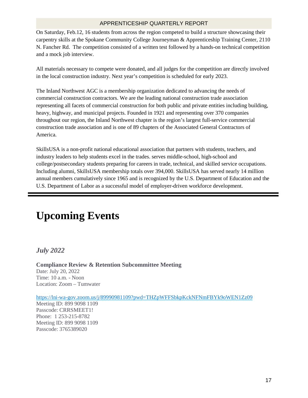On Saturday, Feb.12, 16 students from across the region competed to build a structure showcasing their carpentry skills at the Spokane Community College Journeyman & Apprenticeship Training Center, 2110 N. Fancher Rd. The competition consisted of a written test followed by a hands-on technical competition and a mock job interview.

All materials necessary to compete were donated, and all judges for the competition are directly involved in the local construction industry. Next year's competition is scheduled for early 2023.

The Inland Northwest AGC is a membership organization dedicated to advancing the needs of commercial construction contractors. We are the leading national construction trade association representing all facets of commercial construction for both public and private entities including building, heavy, highway, and municipal projects. Founded in 1921 and representing over 370 companies throughout our region, the Inland Northwest chapter is the region's largest full-service commercial construction trade association and is one of 89 chapters of the Associated General Contractors of America.

SkillsUSA is a non-profit national educational association that partners with students, teachers, and industry leaders to help students excel in the trades. serves middle-school, high-school and college/postsecondary students preparing for careers in trade, technical, and skilled service occupations. Including alumni, SkillsUSA membership totals over 394,000. SkillsUSA has served nearly 14 million annual members cumulatively since 1965 and is recognized by the U.S. Department of Education and the U.S. Department of Labor as a successful model of employer-driven workforce development.

# **Upcoming Events**

*July 2022*

**Compliance Review & Retention Subcommittee Meeting** Date: July 20, 2022 Time: 10 a.m. - Noon Location: Zoom – Tumwater

<https://lni-wa-gov.zoom.us/j/89990981109?pwd=THZpWFFSbkpKckNFNmFBYk9oWEN1Zz09>

Meeting ID: 899 9098 1109 Passcode: CRRSMEET1! Phone: 1 253-215-8782 Meeting ID: 899 9098 1109 Passcode: 3765389020